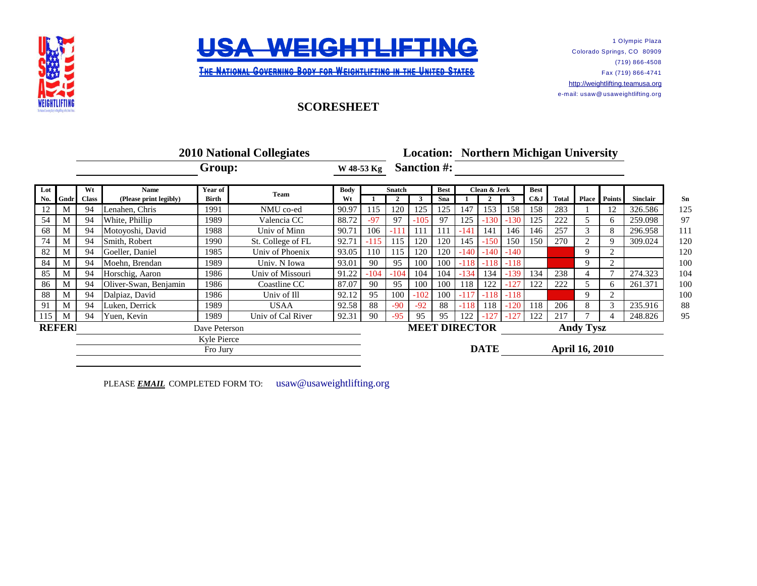



1 Olympic Plaza Colorado Springs, CO 80909 (719) 866-4508 Fax (719) 866-4741 [http://](http://weightlifting.teamusa.org/)weightlifting.teamusa.org e-mail: usaw@ usaweightlifting.org

**THE NATIONAL GOVERNING BODY FOR WEIGHTLIFTING IN THE UNITED STATES** 

## **SCORESHEET**

|     |               | <b>2010 National Collegiates</b> |                        |         |                   |             |               |                                      |        |             | <b>Location: Northern Michigan University</b> |              |                  |             |              |   |                     |                 |
|-----|---------------|----------------------------------|------------------------|---------|-------------------|-------------|---------------|--------------------------------------|--------|-------------|-----------------------------------------------|--------------|------------------|-------------|--------------|---|---------------------|-----------------|
|     |               | Group:                           |                        |         |                   | W 48-53 Kg  |               | <b>Sanction #:</b>                   |        |             |                                               |              |                  |             |              |   |                     |                 |
| Lot |               | Wt                               | <b>Name</b>            | Year of | Team              | <b>Body</b> | <b>Snatch</b> |                                      |        | <b>Best</b> |                                               | Clean & Jerk |                  | <b>Best</b> |              |   |                     |                 |
| No. | Gndr          | <b>Class</b>                     | (Please print legibly) | Birth   |                   | Wt          |               |                                      |        | Sna         |                                               |              |                  | C&J         | <b>Total</b> |   | <b>Place</b> Points | <b>Sinclair</b> |
| 12  | M             | 94                               | Lenahen, Chris         | 1991    | NMU co-ed         | 90.97       | 115           | 120                                  | 125    | 125         | 147                                           | 153          | 158              | 158         | 283          |   | 12                  | 326.586         |
| 54  | M             | 94                               | White, Phillip         | 1989    | Valencia CC       | 88.72       | $-97$         | 97                                   | $-105$ | 97          | 125                                           | $-130$       | $-130$           | 125         | 222          |   |                     | 259.098         |
| 68  | M             | 94                               | Motoyoshi, David       | 1988    | Univ of Minn      | 90.71       | 106           | -111                                 | 111    | 111         | -141                                          | 141          | 146              | 146         | 257          |   |                     | 296.958         |
| 74  | M             | 94                               | Smith, Robert          | 1990    | St. College of FL | 92.71       | $-115$        | 115                                  | 120    | 120         | 145                                           | $-150$       | 150              | 150         | 270          |   | 9                   | 309.024         |
| 82  | M             | 94                               | Goeller, Daniel        | 1985    | Univ of Phoenix   | 93.05       | 110           | 115                                  | 120    | 120         | $-140$                                        | $-140$       | $-140$           |             |              | 9 | $\overline{2}$      |                 |
| 84  | M             | 94                               | Moehn, Brendan         | 1989    | Univ. N Iowa      | 93.01       | 90            | 95                                   | 100    | 100         | $-118$                                        | $-118$       | $-118$           |             |              | 9 | $\overline{c}$      |                 |
| 85  | M             | 94                               | Horschig, Aaron        | 1986    | Univ of Missouri  | 91.22       | $-104$        | $-104$                               | 104    | 104         | $-134$                                        | 134          | $-139$           | 134         | 238          |   |                     | 274.323         |
| 86  | M             | 94                               | Oliver-Swan, Benjamin  | 1986    | Coastline CC      | 87.07       | 90            | 95                                   | 100    | 100         | 118                                           | 122          | $-127$           | 122         | 222          |   |                     | 261.371         |
| 88  | M             | 94                               | Dalpiaz, David         | 1986    | Univ of Ill       | 92.12       | 95            | 100                                  | $-102$ | 100         | $-117$                                        | $-118$       | $-118$           |             |              | 9 | $\overline{c}$      |                 |
| 91  | M             | 94                               | Luken, Derrick         | 1989    | <b>USAA</b>       | 92.58       | 88            | $-90$                                | $-92$  | 88          | $-118$                                        | 118          | $-120$           | 118         | 206          | 8 | 3                   | 235.916         |
| 115 | M             | 94                               | Yuen, Kevin            | 1989    | Univ of Cal River | 92.31       | 90            | $-95$                                | 95     | 95          | 122                                           |              | $-127$           | 122         | 217          |   |                     | 248.826         |
|     | <b>REFERI</b> | Dave Peterson                    |                        |         |                   |             |               | <b>MEET DIRECTOR</b>                 |        |             |                                               |              | <b>Andy Tysz</b> |             |              |   |                     |                 |
|     |               | Kyle Pierce<br>Fro Jury          |                        |         |                   |             |               | <b>DATE</b><br><b>April 16, 2010</b> |        |             |                                               |              |                  |             |              |   |                     |                 |

PLEASE **EMAIL** COMPLETED FORM TO: usaw@usaweightlifting.org